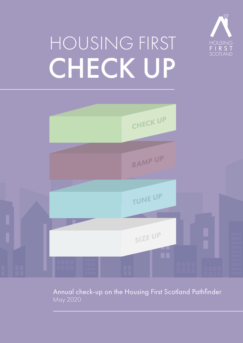

# HOUSING FIRST **CHECK UP**



May 2020 Annual check-up on the Housing First Scotland Pathfinder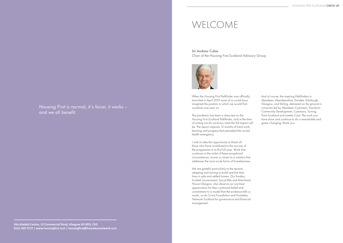# Housing First is normal, it's fairer, it works – and we all benefit.

### **16a Adelphi Centre, 12 Commercial Road, Glasgow G5 0PQ. CEO 0141 420 7272 | www.housingfirst.scot | housingfirst@homelessnetwork.scot**

When the Housing First Pathfinder was officially launched in April 2019 none of us could have imagined the position in which we would find ourselves one year on.

The pandemic has been a stress test on the Housing First Scotland Pathfinder, and at the time of writing we do not know what the full impact will be. The report captures 12 months of hard work, learning and progress that preceded the current health emergency.

We are grateful particularly to the tenants, adapting and striving to build and live their lives in safe and settled homes. Our funders, Scottish Government, Social Bite and Merchants House Glasgow, also deserve our warmest appreciation for their continued belief and commitment to a model that the evidence tells us works, as do Corra Foundation and Homeless Network Scotland for governance and financial management.

I wish to take this opportunity to thank all those who have contributed to the success of the programme in its first full year. Work that continues in the midst of these exceptional circumstances, moves us closer to a solution that addresses the most acute forms of homelessness. And of course, the inspiring Pathfinders in Aberdeen, Aberdeenshire, Dundee, Edinburgh, Glasgow, and Stirling, delivered on the ground in consortia led by Aberdeen Cyrenians, Transform Community Development, Cyrenians, Turning Point Scotland and Loretto Care. The work you have done and continue to do is remarkable and game-changing; thank you.

# WELCOME

# Sir Andrew Cubie Chair of the Housing First Scotland Advisory Group

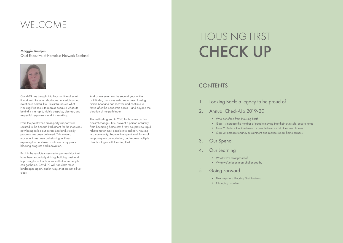Covid-19 has brought into focus a little of what it must feel like when shortages, uncertainty and isolation is normal life. This unfairness is what Housing First seeks to redress because what sits behind it is a rapid, highly bespoke, discreet, and respectful response – and it is working.

From the point when cross-party support was secured in the Scottish Parliament for the measures now being rolled out across Scotland, steady progress has been delivered. This forward movement has been painstaking, at times exposing barriers taken root over many years, blocking progress and innovation.

But it is the resolute cross-sector partnerships that have been especially striking, building trust, and improving local landscapes so that more people can get home. Covid-19 will transform these landscapes again, and in ways that are not all yet clear.

And as we enter into the second year of the pathfinder, our focus switches to how Housing First in Scotland can recover and continue to thrive after the pandemic eases – and beyond the duration of the pathfinder.

The method agreed in 2018 for how we do that doesn't change - first, prevent a person or family from becoming homeless: if they do, provide rapid rehousing for most people into ordinary housing in a community. Reduce time spent in all forms of temporary accommodation, and redress multiple disadvantages with Housing First.

# WELCOME

Maggie Brunjes Chief Executive of Homeless Network Scotland



• Goal 1: Increase the number of people moving into their own safe, secure home

- 1. Looking Back: a legacy to be proud of
- 2. Annual Check-Up 2019-20
	- Who benefited from Housing First?
	-
	- Goal 2: Reduce the time taken for people to move into their own homes
	- Goal 3: Increase tenancy sustainment and reduce repeat homelessness
- 3. Our Spend
- 4. Our Learning
	- What we're most proud of
	- What we've been most challenged by
- 5. Going Forward
	- Five steps to a Housing First Scotland
	- Changing a system

# HOUSING FIRST CHECK UP

# **CONTENTS**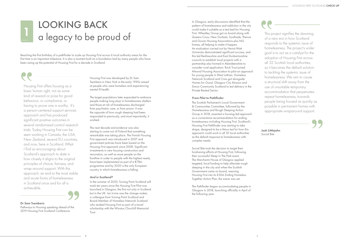

Housing First offers housing as a basic human right, not as some kind of reward or prize for good behaviour, or compliance, or having to prove one is worthy. It's a person-centered support services approach and has produced significant positive outcomes in several randomized control research trials. Today Housing First can be seen working in Canada, the USA, New Zealand, several EU countries, and now, here in Scotland. What I find so encouraging about Scotland's approach to date is how closely it aligns to the original principles of choice, fairness, and wrap-around support. With this approach, an end to the most visible and acute forms of homelessness in Scotland once and for all is achievable.

Dr Sam Tsemberis

Pathways to Housing speaking ahead of the 2019 Housing First Scotland Conference

Housing First was developed by Dr Sam Tsemberis in New York in the early 1990s aimed at people who were homeless and experiencing mental ill health.

The target populations later expanded to embrace people making long stays in homelessness shelters and those at risk of homelessness discharged from psychiatric care, or from prison. It was the opposite of how rough sleeping had been responded to previously, and most importantly, it worked.

The next decade and evidence was also starting to come out of Finland that something remarkable was taking place. The Finnish Housing First approach was introduced in 2007 and government policies have been based on the Housing First approach since 2008. Significant investments in new housing construction and renovation, as well as more people on the frontline in order to people with the highest needs, have been implemented as part of a €78m programme and by 2020 is the only European country in which homelessness is falling.

### *And in Scotland?*

In the summer of 2020, Turning Point Scotland will mark ten years since the Housing First Pilot was launched in Glasgow, the first not only in Scotland but in the UK. Ian Irvine was the change-maker, a colleague from Turning Point Scotland and Board Member of Homeless Network Scotland who studied Housing First as part of a travel scholarship with the Winston Churchill Memorial Trust.

# LOOKING BACK a legacy to be proud of 1

Reaching the first birthday of a pathfinder to scale up Housing First across 6 local authority areas for the first time is an important milestone. It is also a moment built on a foundation laid by many people who have been sizing up the potential of Housing First for a decade in Scotland.

In Glasgow, early discussions identified that the pattern of homelessness and addiction in the city could make it suitable as a test bed for Housing First. Wheatley Group got on board along with Queens Cross, New Gorbals, Southside, Thenue and Govan Housing Associations plus NG homes, all helping to make it happen. An evaluation carried out by Heriot-Watt University demonstrated significant success, and this led Renfrewshire and East Dunbartonshire councils to establish local projects with a partnership also formed in Aberdeenshire to consider rural application. Rock Trust joined Almond Housing Association to pilot an approach for young people in West Lothian. Homeless Network Scotland and Crisis got alongside Homes for Good, Glasgow City Mission and Simon Community Scotland to test delivery in the Private Rented Sector.

### *From Pilot to Pathfinder*

The Scottish Parliament's Local Government & Communities Committee, followed by the Homelessness and Rough Sleeping Action Group in 2018, asserted a housing-led approach as a cornerstone recommendation for ending homelessness including Housing First. Scotland's Housing First Pathfinder was starting to take shape, designed to be a litmus test for how this approach could work in all 32 local authorities as the default response to homelessness with complex needs.

Social Bite took the decision to target their fundraising efforts at Housing First, following their successful Sleep In The Park event. The Merchants House of Glasgow applied targeted, local funding to help alleviate rough sleeping in the city and when the Scottish Government came on board, weaving Housing First into its £50m Ending Homeless Together Action Plan, the scene was set.

The Pathfinder began accommodating people in Glasgow in 2018, launching officially in April of the following year.

This project signifies the dawning of a new era in how Scotland responds to the systemic issue of homelessness. The project's wider goal is to act as a catalyst for the adoption of Housing First across all 32 Scottish local authorities, so it becomes the default solution to tackling the systemic issue of homelessness. We aim to cause a structural shift away from the use of unsuitable temporary accommodation that perpetuates repeat homelessness, towards people being housed as quickly as possible in permanent homes with appropriate wraparound support.



Josh Littlejohn Social Bite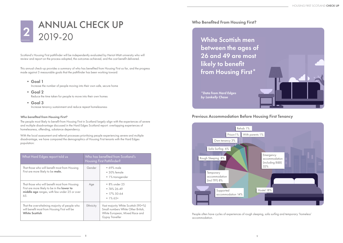

This annual check-up provides a summary of who has benefited from Housing First so far, and the progress made against 3 measurable goals that the pathfinder has been working toward:

- Goal 1 Increase the number of people moving into their own safe, secure home
- Goal 2 Reduce the time taken for people to move into their own homes
- Goal 3 Increase tenancy sustainment and reduce repeat homelessness

# ANNUAL CHECK UP 2019-20 2

Scotland's Housing First pathfinder will be independently evaluated by Heriot-Watt university who will review and report on the process adopted, the outcomes achieved, and the cost benefit delivered.

### *Who benefited from Housing First?*

The people most likely to benefit from Housing First in Scotland largely align with the experiences of severe and multiple disadvantage discussed in the Hard Edges Scotland report: overlapping experiences of homelessness, offending, substance dependency.

White Scottish men between the ages of 26 and 49 are most likely to benefit from Housing First\*

With the local assessment and referral processes prioritising people experiencing severe and multiple disadvantage, we have compared the demographics of Housing First tenants with the Hard Edges population:

| What Hard Edges report told us                                                                                                                      | Who has benefited from Scotland's<br>Housing First Pathfinder? |                                                                                                                                       |  |
|-----------------------------------------------------------------------------------------------------------------------------------------------------|----------------------------------------------------------------|---------------------------------------------------------------------------------------------------------------------------------------|--|
| That those who will benefit most from Housing<br>First are more likely to be male.                                                                  | Gender                                                         | $\bullet$ 69% male<br>$\bullet$ 30% female<br>• 1% transgender                                                                        |  |
| That those who will benefit most from Housing<br>First are more likely to be in the lower to<br>middle age ranges, with few under 25 or over<br>65. | Age                                                            | • 8% under 25<br>$\bullet$ 74% 26-49<br>$\bullet$ 17% 50-64<br>• $1\%65+$                                                             |  |
| That the overwhelming majority of people who<br>will benefit most from Housing First will be<br><b>White Scottish</b>                               | <b>Ethnicity</b>                                               | Vast majority White Scottish (90+%)<br>Small numbers White Other British,<br>White European, Mixed Race and<br><b>Gypsy Traveller</b> |  |

*\*Data from Hard Edges by Lankelly Chase*

# Previous Accommodation Before Housing First Tenancy

People often have cycles of experiences of rough sleeping, sofa surfing and temporary 'homeless' accommodation.



# Who Benefited From Housing First?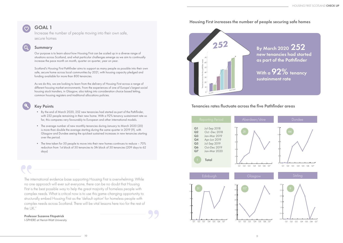The international evidence base supporting Housing First is overwhelming. While no one approach will ever suit everyone, there can be no doubt that Housing First is the best possible way to help the great majority of homeless people with complex needs. What is critical now is to use this game-changing opportunity to structurally embed Housing First as the 'default option' for homeless people with complex needs across Scotland. There will be vital lessons here too for the rest of the UK."

Professor Suzanne Fitzpatrick I-SPHERE at Heriot-Watt University

# GOAL 1

Increase the number of people moving into their own safe, secure homes

 $\left( 0\right)$ 

# Summary

Our purpose is to learn about how Housing First can be scaled up in a diverse range of situations across Scotland, and what particular challenges emerge as we aim to continually increase the pace month on month, quarter on quarter, year on year.

Scotland's Housing First Pathfinder aims to support as many people as possible into their own safe, secure home across local communities by 2021, with housing capacity pledged and funding available for more than 800 tenancies.

By March 2020 252 new tenancies had started as part of the Pathfinder

With a  $92\%$  tenancy sustainment rate

As we do this, we are looking to learn from the delivery of Housing First across a range of different housing market environments. From the experiences of one of Europe's largest social housing stock transfers, in Glasgow, also taking into consideration choice based letting, common housing registers and traditional allocations policies.

# Key Points

- By the end of March 2020, 252 new tenancies had started as part of the Pathfinder, with 232 people remaining in their new home. With a 92% tenancy sustainment rate so far, this compares very favourably to European and other international models.
- The average number of new monthly tenancies during January to March 2020 (20) is more than double the average starting during the same quarter in 2019 (9), with Glasgow and Dundee seeing the quickest sustained increases in new tenancies starting over the period.
- The time taken for 50 people to move into their new homes continues to reduce 70% reduction from 1st block of 50 tenancies to 5th block of 50 tenancies (209 days to 62 days)

# Tenancies rates fluctuate across the five Pathfinder areas

# Housing First increases the number of people securing safe homes



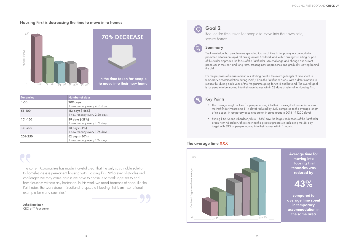# Housing First is decreasing the time to move in to homes

The current Coronavirus has made it crystal clear that the only sustainable solution to homelessness is permanent housing with Housing First. Whatever obstacles and challenges we may come across we have to continue to work together to end homelessness without any hesitation. In this work we need beacons of hope like the Pathfinder. The work done in Scotland to upscale Housing First is an inspirational example for many countries."

Goal 2  $\overline{\mathcal{O}}$ 

 $\overline{O}$ 

Juha Kaakinen CEO of Y-Foundation

| <b>Tenancies</b> | <b>Number of days</b>         |  |
|------------------|-------------------------------|--|
| $1 - 50$         | 209 days                      |  |
|                  | 1 new tenancy every 4.18 days |  |
| $51 - 100$       | 113 days (-46%)               |  |
|                  | 1 new tenancy every 2.26 days |  |
| 101-150          | 89 days (-21%)                |  |
|                  | 1 new tenancy every 1.78 days |  |
| 151-200          | 88 days (-1%)                 |  |
|                  | 1 new tenancy every 1.76 days |  |
| 201-250          | 62 days (-30%)                |  |
|                  | 1 new tenancy every 1.24 days |  |



# 70% DECREASE

in the time taken for people to move into their new home Reduce the time taken for people to move into their own safe,

secure homes

# Summary

The knowledge that people were spending too much time in temporary accommodation prompted a focus on rapid rehousing across Scotland, and with Housing First sitting as part of this wider approach the focus of the Pathfinder is to challenge and change our current processes in the short and long term, creating new approaches and gradually leaving behind the old.

For the purposes of measurement, our starting point is the average length of time spent in temporary accommodation during 2018/19 in the Pathfinder areas, with a determination to reduce this during each year of the Programme going forward and beyond. The overall goal is for people to be moving into their own homes within 28 days of referral to Housing First.

# Key Points

• The average length of time for people moving into their Housing First tenancies across the Pathfinder Programme (114 days) reduced by 43% compared to the average length of time spent in temporary accommodation in same areas in 2018-19 (200 days)

• Stirling (-64%) and Aberdeen/shire (-56%) saw the largest reductions of the Pathfinder areas, with Aberdeen/shire showing the greatest progress in achieving the 28-day

- 
- target with 39% of people moving into their homes within 1 month.

Average time for moving into Housing First tenancies was reduced by

compared to average time spent in temporary accommodation in the same area

# 43%



# The average time XXX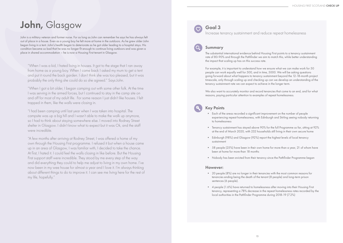# John, Glasgow

John is a military veteran and former nurse. For as long as John can remember he says he has always felt out of place in a house. Even as a young boy he felt more at home in the outdoors. As he grew older John began living in a tent. John's health began to deteriorate as he got older leading to a hospital stays. His condition became so bad that he was no longer fit enough to continue living outdoors and was given a place in shared accommodation – he is now a Housing First tenant in Glasgow.

"When I was a kid, I hated living in houses. It got to the stage that I ran away from home as a young boy. When I came back I asked my mum to get a tent and put it round the back garden. I don't think she was too pleased, but it was probably the only thing she could do so she agreed." Says John.

"When I got a bit older, I began camping out with some other folk. At the time I was serving in the armed forces, but I continued to stay in the camp site on and off for most of my adult life. For some reason I just didn't like houses. I felt trapped in them, like the walls were closing in.

"I had been camping until last year when I was taken into hospital. The campsite was up a big hill and I wasn't able to make the walk up anymore, so I had to think about staying somewhere else. I moved into Rodney Street shelter in Glasgow. I didn't know what to expect but it was Ok, and the staff were incredible.

"A few months after arriving at Rodney Street, I was offered a home of my own through the Housing First programme. I refused it but when a house came up in an area of Glasgow, I was familiar with, I decided to take the chance. At first, I hated it. I could feel the walls closing in like before. But the Housing First support staff were incredible. They stood by me every step of the way and did everything they could to help me adjust to living in my own home. I've now been in my wee house for almost a year and I love it. I'm always thinking about different things to do to improve it. I can see me living here for the rest of my life, hopefully."

# Goal 3

 $\bigcirc$ 

Increase tenancy sustainment and reduce repeat homelessness

# Summary

The substantial international evidence behind Housing First points to a tenancy sustainment rate of 80-90% and through the Pathfinder we aim to match this, while better understanding the impact that scaling up has on this success rate.

For example, it is important to understand how we ensure what we can make work for 50 people can work equally well for 500, and in time, 5000. We will be asking questions going forward about what happens to tenancy sustainment beyond the 12-18-month project timescale, only through scaling up and checking up can we develop an understanding of the tenancy sustainment rate we can expect to achieve in the longer term.

We also want to accurately monitor and record tenancies that come to an end, and for what reasons, paying particular attention to examples of repeat homelessness.

# Key Points

• Each of the areas recorded a significant improvement on the number of people experiencing repeat homelessness, with Edinburgh and Stirling seeing nobody returning

• Tenancy sustainment has stayed above 90% for the full Programme so far, sitting at 92% at the end of March 2020, with 232 households still living in their own secure home

- 
- to homelessness
- 
- Edinburgh (98%) and Glasgow (92%) report the highest levels of local tenancy sustainment
- been at home for more than 18 months
- 

• 58 people (25%) have been in their own home for more than a year, 21 of whom have

• Nobody has been evicted from their tenancy since the Pathfinder Programme began

# However:

tenancies ending being the death of the tenant (8 people) and long-term prison

- 20 people (8%) are no longer in their tenancies with the most common reasons for sentences (6 people).
- 4 people (1.6%) have returned to homelessness after moving into their Housing First local authorities in the Pathfinder Programme during 2018-19 (7.2%)

tenancy, representing a 78% decrease in the repeat homelessness rates recorded by the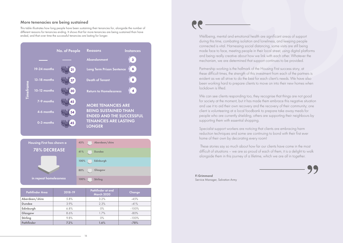# More tenenacies are being sustained

This table illustrates how long people have been sustaining their tenancies for, alongside the number of different reasons for tenancies ending. It shows that far more tenancies are being sustained than have ended, and that over time the successful tenancies are lasting for longer.

| <b>Pathfinder Area</b> | 2018-19 | Pathfinder at end<br><b>March 2020</b> | <b>Change</b> |
|------------------------|---------|----------------------------------------|---------------|
| Aberdeen/shire         | 5.8%    | 3.2%                                   | $-45%$        |
| <b>Dundee</b>          | 3.9%    | 2.3%                                   | $-41%$        |
| Edinburgh              | 6.8%    | $O\%$                                  | $-100%$       |
| Glasgow                | 8.6%    | 1.7%                                   | $-80%$        |
| <b>Stirling</b>        | 9.8%    | $0\%$                                  | $-100%$       |
| <b>Pathfinder</b>      | 7.2%    | 1.6%                                   | $-78%$        |



We can see clients responding too, they recognise that things are not good for society at the moment, but it has made them embrace this negative situation and use it to aid their own recovery and the recovery of their community; one client is volunteering at a local foodbank to prepare take away meals for people who are currently shielding, others are supporting their neighbours by supporting them with essential shopping.

Wellbeing, mental and emotional health are significant areas of support during this time, combating isolation and loneliness, and keeping people connected is vital. Harnessing social distancing, some visits are still being made face to face, meeting people in their local street, using digital platforms and being really creative about how we link with each other. Whatever the mechanism, we are determined that support continues to be provided.

Partnership working is the hallmark of the Housing First success story, at these difficult times, the strength of this investment from each of the partners is evident as we all strive to do the best for each client's needs. We have also been working hard to prepare clients to move on into their new homes when lockdown is lifted.

Specialist support workers are noticing that clients are embracing harm reduction techniques and some are continuing to bond with their first ever home of their own by decorating every room!

 These stories say so much about how far our clients have come in the most difficult of situations – we are so proud of each of them, it is a delight to walk alongside them in this journey of a lifetime, which we are all in together.

Fi Grimmond Service Manager, Salvation Army

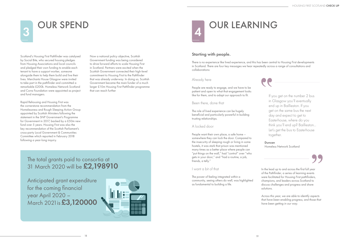

# **OUR SPEND**

Scotland's Housing First Pathfinder was catalysed by Social Bite, who secured housing pledges from Housing Associations and local councils and pledged their own funding to enable each tenant to have a support worker, someone alongside them to help them build and live their lives. Merchants House Glasgow were invited to take part in the pathfinder and committed a remarkable £200k. Homeless Network Scotland and Corra Foundation were appointed as project and fund managers.

Rapid Rehousing and Housing First was the cornerstone recommendation from the Homelessness and Rough Sleeping Action Group appointed by Scottish Ministers following the statement in the SNP Government's Programme for Government in 2017, backed by a £50m new fund over 5 years. Housing First was also the key recommendation of the Scottish Parliament's cross-party Local Government & Communities Committee which reported in February 2018 following a year-long inquiry.

> Anticipated grant expenditure for the coming financial year April 2020 – March 2021 is £3,120000



Now a national policy objective, Scottish Government funding was being considered to drive forward efforts to scale Housing First in Scotland. Partners were excited when the Scottish Government connected their high-level commitment to Housing First to the Pathfinder that was already underway. In doing so, Scottish Government became the main funder of a much larger £10m Housing First Pathfinder programme that can reach further

# The total grants paid to consortia at 31 March 2020 will be £2,198910



# Starting with people.

There is no experience like lived experience, and this has been central to Housing First developments in Scotland. There are four key messages we hear repeatedly across a range of consultations and collaborations:

# Already here

People are ready to engage, and we have to be patient and open to what that engagement looks like for them, and to adapt our approach to fit.

## Been there, done that

The role of lived experience can be hugely beneficial and particularly powerful in building trusting relationships.

# A locked door

People want their own place, a safe home – somewhere they can lock the door. Compared to the insecurity of sleeping rough or living in some hostels, it was stark that prison was mentioned many times as a better place where people can "put things on the wall," had "control" over "who gets in your door," and "had a routine, a job, friends, a telly."

# I want a bit of that

The power of feeling integrated within a community, seeing others do well, was highlighted as fundamental to building a life.

If you get on the number 2 bus in Glasgow you'll eventually end up in Baillieston. If you get on the same bus the next day and expect to get to Easterhouse, where do you think you'll end up? Baillieston… Let's get the bus to Easterhouse together.

Duncan Homeless Network Scotland



In the lead up to and across the first full year of the Pathfinder, a series of learning events were facilitated for Housing First pathfinders, champions, and leaders across Scotland to discuss challenges and progress and share solutions.

*Across this year, we are able to identify aspects that have been enabling progress, and those that have been getting in our way.*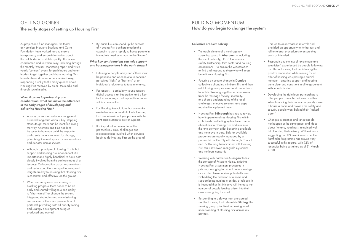As project and fund managers, the teams at Homeless Network Scotland and Corra Foundation have worked hard to ensure transparency and ensure information about the pathfinder is available quickly. This is in a coordinated and universal way, including through the monthly 'tracker' monitoring report and twice yearly 'connect' events for pathfinders and other leaders to get together and share learning. This has also been done on a personalised way, responding quickly to the many queries about Housing First received by email, the media and through social media.

### *When it comes to partnership and collaboration, what can make the difference in the early stages of developing and delivering Housing First?*

- A focus on transformational change and a shared long-term vision is key; stepping stones to get there can be identified along the way. Attention and time needs to be given to how you build the capacity and create the environment for change, prioritising time and space for conversations and debates across sectors.
- Although a principle of Housing First is that support and housing are independent, it is important and highly beneficial to have both closely involved from the earliest stages of a tenancy. Collaboration across organisations and sectors and the sharing of learning and insights are key to ensuring that Housing First is consistent and effective 'on the ground'.
- When current systems are slowing or blocking progress, there needs to be an early and shared willingness and ability to "short-circuit" or change the system. Integrated strategies and commissioning can succeed if there is a presumption of partnership working with all priority setting and strategy development being coproduced and owned.

• By-name lists can speed up the success of Housing First but there must be the capacity to work rapidly to house people in immediate need who may not be 'known'.

### *What key considerations can help support and housing providers in the early stages?*

- The establishment of a multi-agency screening group in **Aberdeen** – including the local authority, HSCP, Community Safety Partnership, third sector and housing associations – to ensure the widest reach to find and respond to those who will most benefit from Housing First.
- Focusing on culture change in **Dundee** collectively changing mind-sets first and then establishing new processes and procedures to match. Working together to move away from the 'sausage factory' mentality, to a shared understanding of the local challenges, effective solutions and steps required to implement them.
- Housing First Edinburgh has had to review how it operationalises Housing First within a choice-based letting system to maximise allocations to Housing First and minimise the time between a flat becoming available and the move in date. Bids for available properties are usually managed by a partnership of the City of Edinburgh Council and 19 Housing Associations; with Housing First this is reviewed alongside Cyrenians and the local consortia.
- Working with partners in Glasgow to test the concept of Prison to Home, initiating Housing First assessment processes in prisons, arranging for virtual home viewings or escorted leave to view potential homes. Embedding the ambition of a home and support being available on day of release. It is intended that this initiative will increase the number of people leaving prison into their own home going forward.
- Responding to a slower than anticipated start for Housing First referrals in Stirling, the steering group prioritised improving local understanding of Housing First across key partners.

- Listening to people is key and if there must be patience and openness to understand perceived "risks" or "barriers" or an individual's reluctance to take a tenancy.
- For tenants particularly young tenants digital access is an imperative, and a key tool to encourage and support integration within communities.
- For Housing Associations that can make available even a handful of lets, Housing First is a win-win – if you partner with the right organisation to deliver support.
- It is important to be mindful of the practicalities, risks, challenges and misconceptions involved when services begin to do Housing First on the ground.

# GETTING GOING The early stages of setting up Housing First

### *Collective problem solving*

 This led to an increase in referrals and provided an opportunity to further test and refine referral procedures to ensure they work as intended.

- Responding to the mix of 'excitement and scepticism' experienced by people following an offer of Housing First, maintaining the positive momentum while waiting for an offer of housing was proving a crucial moment – ensuring support and housing were clear and consistent in all engagement with tenants is vital.
- Developing the right local partnerships to offer people as much choice as possible when furnishing their home can quickly make a house a home and provide the safety and security people want behind their "locked door."
- Changes in practice and language do not happen at the same pace, and ideas about 'tenancy readiness' remained well into Housing First delivery. With evidence suggesting an 80% sustainment rate, the Pathfinder Programme has proved very successful in this regard, with 92% of tenancies being sustained as of 31 March 2020.

# BUILDING MOMENTUM How do you begin to change the system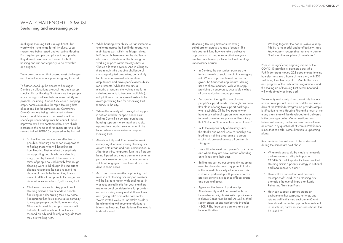*S*caling up Housing First is a significant - but worthwhile - challenge for all involved. Local systems are being tested and upscaling Housing First requires people and places to adapt what they do and how they do it – and for both housing and support capacity to be available and aligned.

There are core issues that caused most challenges and that will remain our priorities going forward:

To further speed up the access to housing in Dundee an allocations protocol has been set up specifically for Housing First to ensure that people move through and into their home as quickly as possible, including Dundee City Council keeping empty homes available for rapid Housing First allocations. For the same reason, Community Care Grants are being fast-tracked – down from six to eight weeks to two weeks, with a specific person leading from the council. These improvements have contributed to a two-thirds increase in the number of tenancies starting in the second half of 2019-20 compared to the first half.

- So that the programme is as effective as possible, Edinburgh amended its approach to finding those who will benefit most from Housing First to reflect an emphasis on supporting people who are sleeping rough, and by the end of the year twothirds of people housed directly from rough sleeping were in Edinburgh This important change recognises the need to avoid the chance of people believing they have to maintain difficult and potentially dangerous circumstances in order to 'get Housing First.'
- Choice and control is a key principle of Housing First and this extends to people furnishing and decorating their new home. Recognising that this is a crucial opportunity to engage people and build relationships, Glasgow is providing support workers with individual credit cards to allow them to respond quickly and flexibly alongside those they are working with.
- In Dundee, the consortium partners are testing the role of social media in managing risk. Where appropriate and consent is given, the Snapchat map feature is being used to share locations, with WhatsApp providing an encrypted, accessible method of communication among partners.
- Recognising the significance of some people's support needs, Edinburgh has been flexible in offering two support packages where suitable. Of the five people who have received dual support, two have now tapered down to one package, illustrating that "Risks don't become less via exclusion."
- With the responsibility of statutory duty, the Health and Social Care Partnership are leading a training programme to create a joint risk protocol among all partners in Glasgow.
- This will be focused on a person's aspirations and where they are now, instead of holding onto things from their past.
- Stirling has carried out community mapping exercises to understand any potential risks in the immediate vicinity of tenancies. This is done in partnership with police who can provide generic intelligence of local areas and potential issues.
- Again, on the theme of partnership, Aberdeen City and Aberdeenshire have been able to mitigate risk with a particularly inclusive Consortium Board. As well as third sector organisations membership includes HSCP, RSLs, three care partners, and both local authorities.
- While housing availability isn't an immediate challenge across the Pathfinder areas, two main issues exist within the biggest cities. In Edinburgh there remains the challenge of a more acute demand for housing and working at pace within the city's Key to Choice allocation system. And in Glasgow there remains the ongoing challenge of sourcing adapted properties, particularly for those who have addiction-related amputations and have specific accessibility requirements. While this remains a minority of tenants, the waiting time for a suitable property to become available (or adaptations to be completed) extends the average waiting time for a Housing First tenancy in the city.
- Where the intensity of Housing First support is not required but support needs exist, Stirling Council is now spot purchasing housing support – ensuring that a rapid, appropriate housing solution can still be found when someone doesn't require Housing First.
- Aberdeen City and Aberdeenshire work closely together in upscaling Housing First across both urban and rural communities. In Aberdeenshire, temporary furnished flats are being flipped and made permanent when a person is keen to do so – a common sense solution bringing move-in times down to 40 days in some cases.
- Across all areas, workforce planning and retention of Housing First support workers will be key to a nation-wide scaling up. It was recognised in this first year that there are a range of considerations for providers around existing salary and staff structures and 'going rate' across the care sector. We've invited CCPS to undertake a salary benchmarking with recommendations to inform the Housing First National Framework in development.

# WHAT CHALLENGED US MOST Sustaining and increasing pace

Upscaling Housing First requires strong collaboration across a range of sectors. This includes rethinking how we take a collective approach to risk and ensuring that everyone involved is safe and protected without creating unnecessary barriers.

Working together the Board is able to keep fidelity to the model and to effectively share knowledge – recognising that every partner: "Holds a different piece of the whole."

Prior to the significant, ongoing impact of the COVID-19 pandemic, partners across the Pathfinder areas moved 252 people experiencing homelessness into a home of their own, with 232 sustaining their tenancy at 31 March. The pace and progress of the Pathfinder Programme – and the scaling up of Housing First across Scotland – will undoubtedly be impacted.

The security and safety of a comfortable home is now more important than ever and the success to date of the Pathfinder Programme provides ample justification to hold Housing First at the heart of the many plans that will be developed and delivered in the coming months. Many questions from before will remain, and many new ones will need answered. Key questions that were in Pathfinders' minds that can offer some direction to upcoming plans:

Key questions that will need to be addressed during the immediate next phase

- What revisions could be made to timescale and resources to mitigate impact of COVID-19 and, importantly, to ensure that Housing First is a priority strategy in national and local recovery plans?
- How will we understand and measure the impact of Covid-19 on Housing First alongside the overall impact on Rapid Rehousing Transition Plans.
- How can support partners create an environment that supports, nurtures, and retains staff in this new environment? And how should consortia approach recruitment in the interim, and what measures should this be linked to?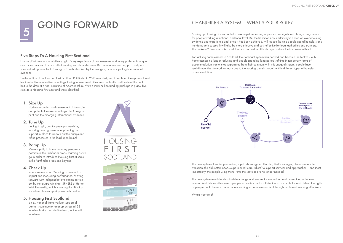# 1. Size Up

Horizon scanning and assessment of the scale and potential in diverse settings. The Glasgow pilot and the emerging international evidence.

### 2. Tune Up

getting it right, creating new partnerships, ensuring good governance, planning and support in place to smooth out the bumps and refine processes in the lead up to launch.

## 3. Ramp Up

where we are now. Ongoing assessment of impact and measuring performance. Moving forward with independent evaluation carried out by the award winning I-SPHERE at Heriot Watt University, which is among the UK's top social and housing policy research centres.

Move rapidly to house as many people as possible in the Pathfinder areas, learning as we go in order to introduce Housing First at scale in the Pathfinder areas and beyond.

# 4. Check Up

# 5. Housing First Scotland

a new national framework to support all partners continue to ramp up across all 32 local authority areas in Scotland, in line with local need.

# <sup>5</sup> GOING FORWARD



# Five Steps To A Housing First Scotland

Housing First feels – is – intuitively right. Every experience of homelessness and every path out is unique, one factor common to each is that housing ends homelessness. But the wrap around support and person-centred approach of Housing First is also backed by the strongest, most compelling international evidence.

The formation of the Housing First Scotland Pathfinder in 2018 was designed to scale up the approach and test its effectiveness in diverse settings, taking in towns and cities from the hustle and bustle of the central belt to the dramatic rural coastline of Aberdeenshire. With a multi-million funding package in place, five steps to a Housing First Scotland were identified.

# CHANGING A SYSTEM – WHAT'S YOUR ROLE?

Scaling up Housing First as part of a new Rapid Rehousing approach is a significant change programme for people working at national and local level. But the transition now underway is based on overwhelming evidence and experience and, once it has been achieved, will reduce the time people spend homeless and the damage it causes. It will also be more effective and cost-effective for local authorities and partners. The Berkano2 'two loops' is a useful way to understand this change and each of our roles within it.

For tackling homelessness in Scotland, the dominant system has peaked and become ineffective - with homelessness no longer reducing and people spending long periods of time in temporary forms of accommodation, sometimes segregated from their community. In this unequal system, people face real disincentives to work or learn due to the housing benefit models within different types of homeless accommodation



The new system of earlier prevention, rapid rehousing and Housing First is emerging. To ensure a safe transition, the old system needs experienced 'care-takers' to support services and approaches – and most importantly, the people using them - until the services are no longer needed.

The new system needs leaders to drive change and ensure it is embedded and maintained – the new normal. And this transition needs people to monitor and scrutinise it – to advocate for and defend the rights of people - until the new system of responding to homelessness is of the right scale and working effectively.

What's your role?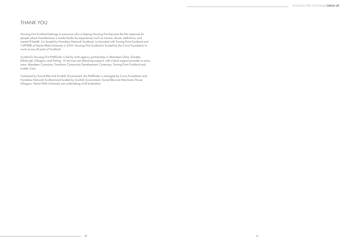Housing First Scotland belongs to everyone who is helping Housing First become the first response for people whose homelessness is made harder by experiences such as trauma, abuse, addictions, and mental ill health. It is hosted by Homeless Network Scotland, co-founded with Turning Point Scotland and I-SPHERE at Heriot-Watt University in 2016. Housing First Scotland is funded by the Corra Foundation to work across all parts of Scotland.

Scotland's Housing First Pathfinder is led by multi-agency partnerships in Aberdeen/shire, Dundee, Edinburgh, Glasgow, and Stirling. 15 services are delivering support, with a lead support provider in every area: Aberdeen Cyrenians, Transform Community Development, Cyrenians, Turning Point Scotland and Loretto Care.

Catalysed by Social Bite and Scottish Government, the Pathfinder is managed by Corra Foundation and Homeless Network Scotland and funded by Scottish Government, Social Bite and Merchants House Glasgow. Heriot-Watt University are undertaking a full evaluation.

# THANK YOU